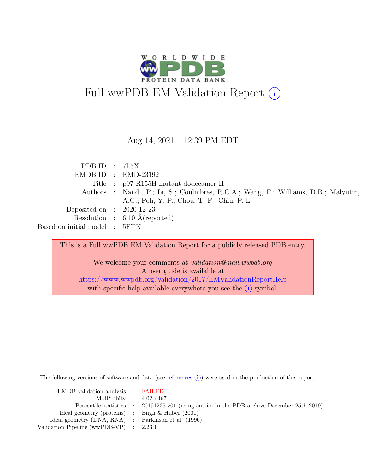

#### Aug 14, 2021 – 12:39 PM EDT

| PDB ID : $7L5X$               |                                                                                     |
|-------------------------------|-------------------------------------------------------------------------------------|
|                               | $EMDB ID : EMD-23192$                                                               |
|                               | Title : p97-R155H mutant dodecamer II                                               |
|                               | Authors : Nandi, P.; Li, S.; Coulmbres, R.C.A.; Wang, F.; Williams, D.R.; Malyutin, |
|                               | A.G.; Poh, Y.-P.; Chou, T.-F.; Chiu, P.-L.                                          |
| Deposited on : $2020-12-23$   |                                                                                     |
|                               | Resolution : $6.10 \text{ Å}$ (reported)                                            |
| Based on initial model : 5FTK |                                                                                     |

This is a Full wwPDB EM Validation Report for a publicly released PDB entry.

We welcome your comments at validation@mail.wwpdb.org A user guide is available at <https://www.wwpdb.org/validation/2017/EMValidationReportHelp> with specific help available everywhere you see the  $(i)$  symbol.

The following versions of software and data (see [references](https://www.wwpdb.org/validation/2017/EMValidationReportHelp#references)  $(i)$ ) were used in the production of this report:

| EMDB validation analysis : FAILED                   |                                                                                            |
|-----------------------------------------------------|--------------------------------------------------------------------------------------------|
| MolProbity : $4.02b-467$                            |                                                                                            |
|                                                     | Percentile statistics : 20191225.v01 (using entries in the PDB archive December 25th 2019) |
| Ideal geometry (proteins) : Engh $\&$ Huber (2001)  |                                                                                            |
| Ideal geometry (DNA, RNA) : Parkinson et al. (1996) |                                                                                            |
| Validation Pipeline (wwPDB-VP) : $2.23.1$           |                                                                                            |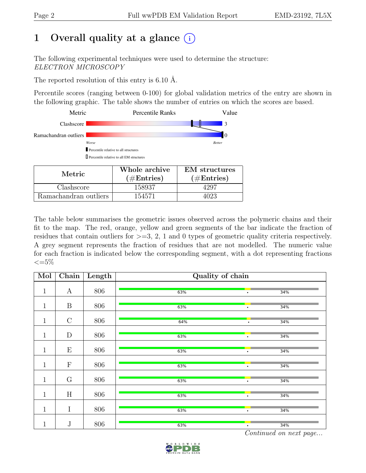## 1 Overall quality at a glance  $(i)$

The following experimental techniques were used to determine the structure: ELECTRON MICROSCOPY

The reported resolution of this entry is 6.10 Å.

Percentile scores (ranging between 0-100) for global validation metrics of the entry are shown in the following graphic. The table shows the number of entries on which the scores are based.

| Metric                                            | <b>Percentile Ranks</b>               | Value                |  |  |  |  |  |
|---------------------------------------------------|---------------------------------------|----------------------|--|--|--|--|--|
| Clashscore                                        |                                       | -3                   |  |  |  |  |  |
| Ramachandran outliers                             |                                       | 10                   |  |  |  |  |  |
| Worse                                             |                                       |                      |  |  |  |  |  |
|                                                   | Percentile relative to all structures |                      |  |  |  |  |  |
| <b>I</b> Percentile relative to all EM structures |                                       |                      |  |  |  |  |  |
| Metric                                            | Whole archive                         | <b>EM</b> structures |  |  |  |  |  |
|                                                   | $(\#\text{Entries})$                  | $\hat{}$ #Entries)   |  |  |  |  |  |

Clashscore 158937 1297

Ramachandran outliers 154571 154571 4023

The table below summarises the geometric issues observed across the polymeric chains and their fit to the map. The red, orange, yellow and green segments of the bar indicate the fraction of residues that contain outliers for  $\geq$ =3, 2, 1 and 0 types of geometric quality criteria respectively. A grey segment represents the fraction of residues that are not modelled. The numeric value for each fraction is indicated below the corresponding segment, with a dot representing fractions  $\leq=5\%$ 

| Mol          | Chain            | Length | Quality of chain |           |     |  |  |
|--------------|------------------|--------|------------------|-----------|-----|--|--|
| $\mathbf 1$  | $\boldsymbol{A}$ | 806    | 63%              | $\bullet$ | 34% |  |  |
| $\mathbf 1$  | $\boldsymbol{B}$ | 806    | 63%              | $\bullet$ | 34% |  |  |
| $\mathbf{1}$ | $\mathcal{C}$    | 806    | 64%              | $\bullet$ | 34% |  |  |
| $\mathbf{1}$ | D                | 806    | 63%              | $\bullet$ | 34% |  |  |
| $\mathbf{1}$ | E                | 806    | 63%              | $\bullet$ | 34% |  |  |
| $\mathbf 1$  | $\mathbf F$      | 806    | 63%              | $\bullet$ | 34% |  |  |
| $\mathbf{1}$ | $\mathcal G$     | 806    | 63%              | $\bullet$ | 34% |  |  |
| $\mathbf{1}$ | H                | 806    | 63%              | $\bullet$ | 34% |  |  |
| $\mathbf{1}$ | I                | 806    | 63%              | $\bullet$ | 34% |  |  |
| $\mathbf 1$  | $\bf J$          | 806    | 63%              | $\bullet$ | 34% |  |  |

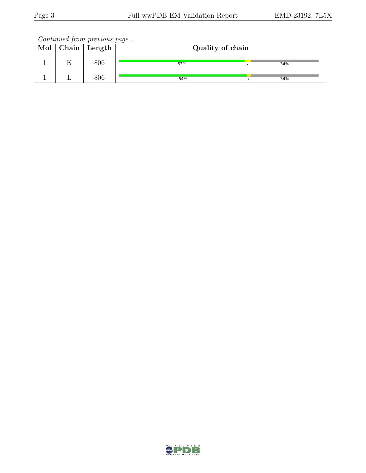Continued from previous page...

| Mol | $\mid$ Chain $\mid$ Length | Quality of chain |  |     |  |
|-----|----------------------------|------------------|--|-----|--|
|     | 806                        | 63%              |  | 34% |  |
|     | 806                        | 64%              |  | 34% |  |

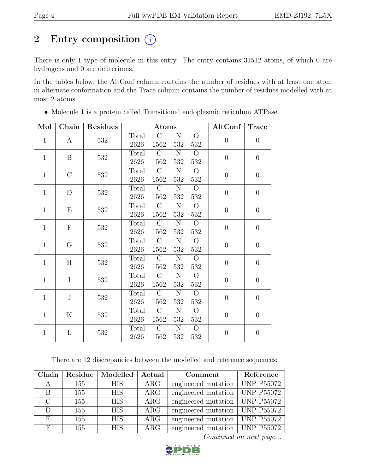# 2 Entry composition  $(i)$

There is only 1 type of molecule in this entry. The entry contains 31512 atoms, of which 0 are hydrogens and 0 are deuteriums.

In the tables below, the AltConf column contains the number of residues with at least one atom in alternate conformation and the Trace column contains the number of residues modelled with at most 2 atoms.

| Mol          | Chain         | Residues |       | Atoms          |                       |                | AltConf          | <b>Trace</b>     |     |       |               |           |                |                |                |
|--------------|---------------|----------|-------|----------------|-----------------------|----------------|------------------|------------------|-----|-------|---------------|-----------|----------------|----------------|----------------|
|              |               |          | Total | $\mathcal{C}$  | $\overline{N}$        | $\overline{O}$ |                  |                  |     |       |               |           |                |                |                |
| $\mathbf{1}$ | $\mathbf{A}$  | 532      | 2626  | 1562           | 532                   | 532            | $\theta$         | $\boldsymbol{0}$ |     |       |               |           |                |                |                |
|              |               |          | Total | $\overline{C}$ | $\overline{N}$        | $\overline{O}$ |                  |                  |     |       |               |           |                |                |                |
| $\mathbf{1}$ | B             | 532      | 2626  | 1562           | 532                   | 532            | $\overline{0}$   | $\overline{0}$   |     |       |               |           |                |                |                |
|              |               |          | Total | $\overline{C}$ | $\overline{N}$        | $\overline{O}$ |                  |                  |     |       |               |           |                |                |                |
| $\mathbf{1}$ | $\mathcal{C}$ | 532      | 2626  | 1562           | 532                   | 532            | $\overline{0}$   | $\overline{0}$   |     |       |               |           |                |                |                |
| $\mathbf{1}$ | D             |          | Total | $\overline{C}$ | $\overline{\rm N}$    | $\overline{O}$ | $\overline{0}$   | $\overline{0}$   |     |       |               |           |                |                |                |
|              |               | 532      | 2626  | 1562           | $532\,$               | 532            |                  |                  |     |       |               |           |                |                |                |
| $\mathbf{1}$ | Ε             |          | Total | $\mathcal{C}$  | $\overline{\text{N}}$ | $\overline{O}$ | $\overline{0}$   | $\overline{0}$   |     |       |               |           |                |                |                |
|              |               | 532      | 2626  | 1562           | 532                   | 532            |                  |                  |     |       |               |           |                |                |                |
| $\mathbf{1}$ | $\mathbf F$   | 532      | Total | $\mathcal{C}$  | ${\bf N}$             | $\overline{O}$ | $\overline{0}$   | $\boldsymbol{0}$ |     |       |               |           |                |                |                |
|              |               |          | 2626  | 1562           | 532                   | 532            |                  |                  |     |       |               |           |                |                |                |
| $\mathbf{1}$ |               |          |       |                |                       |                |                  | G                | 532 | Total | $\mathcal{C}$ | ${\rm N}$ | $\overline{O}$ | $\overline{0}$ | $\overline{0}$ |
|              |               |          | 2626  | 1562           | 532                   | 532            |                  |                  |     |       |               |           |                |                |                |
| $\mathbf{1}$ | H             | 532      | Total | $\mathcal{C}$  | ${\rm N}$             | $\overline{O}$ | $\overline{0}$   | $\overline{0}$   |     |       |               |           |                |                |                |
|              |               |          | 2626  | 1562           | $532\,$               | 532            |                  |                  |     |       |               |           |                |                |                |
| $\mathbf{1}$ | $\mathbf I$   | 532      | Total | $\mathcal{C}$  | $\overline{N}$        | $\overline{O}$ | $\overline{0}$   | $\overline{0}$   |     |       |               |           |                |                |                |
|              |               |          | 2626  | 1562           | $532\,$               | 532            |                  |                  |     |       |               |           |                |                |                |
| $\mathbf{1}$ | $\rm J$       | 532      | Total | $\mathcal{C}$  | $\overline{N}$        | $\overline{O}$ | $\boldsymbol{0}$ | $\boldsymbol{0}$ |     |       |               |           |                |                |                |
|              |               |          | 2626  | 1562           | 532                   | 532            |                  |                  |     |       |               |           |                |                |                |
| $\mathbf{1}$ | K             | 532      | Total | $\mathcal{C}$  | ${\rm N}$             | $\overline{O}$ | $\boldsymbol{0}$ | $\boldsymbol{0}$ |     |       |               |           |                |                |                |
|              |               | 2626     | 1562  | 532            | 532                   |                |                  |                  |     |       |               |           |                |                |                |
| $\mathbf{1}$ | L             |          | Total | $\mathcal{C}$  | $\overline{N}$        | $\overline{O}$ | $\boldsymbol{0}$ |                  |     |       |               |           |                |                |                |
|              |               | $532\,$  | 2626  | 1562           | 532                   | 532            |                  | $\boldsymbol{0}$ |     |       |               |           |                |                |                |

• Molecule 1 is a protein called Transitional endoplasmic reticulum ATPase.

There are 12 discrepancies between the modelled and reference sequences:

| Chain         |     | Residue   Modelled | Actual     | Comment                                       | Reference  |
|---------------|-----|--------------------|------------|-----------------------------------------------|------------|
| A             | 155 | <b>HIS</b>         | $\rm{ARG}$ | engineered mutation   UNP P55072              |            |
| B             | 155 | <b>HIS</b>         | $\rm{ARG}$ | engineered mutation   UNP $P\overline{55072}$ |            |
| $\mathcal{C}$ | 155 | <b>HIS</b>         | $\rm{ARG}$ | engineered mutation                           | UNP P55072 |
| D             | 155 | <b>HIS</b>         | $\rm{ARG}$ | engineered mutation   UNP P55072              |            |
| E             | 155 | <b>HIS</b>         | ARG        | engineered mutation                           | UNP P55072 |
| F             | 155 | <b>HIS</b>         | $\rm{ARG}$ | engineered mutation   UNP P55072              |            |

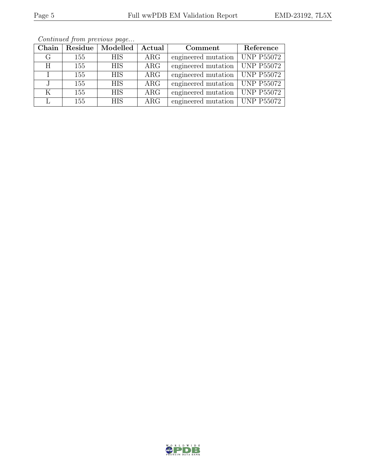| Chain |     | Residue   Modelled | $\bold{Actual}$ | Comment                          | Reference         |
|-------|-----|--------------------|-----------------|----------------------------------|-------------------|
| G     | 155 | <b>HIS</b>         | $\rm{ARG}$      | engineered mutation              | <b>UNP P55072</b> |
| H     | 155 | <b>HIS</b>         | $\rm{ARG}$      | engineered mutation              | <b>UNP P55072</b> |
|       | 155 | <b>HIS</b>         | $\rm{ARG}$      | engineered mutation              | <b>UNP P55072</b> |
|       | 155 | <b>HIS</b>         | ARG             | engineered mutation   UNP P55072 |                   |
| K     | 155 | <b>HIS</b>         | ARG             | engineered mutation              | <b>UNP P55072</b> |
|       | 155 | <b>HIS</b>         | ARG             | engineered mutation              | <b>UNP P55072</b> |

Continued from previous page...

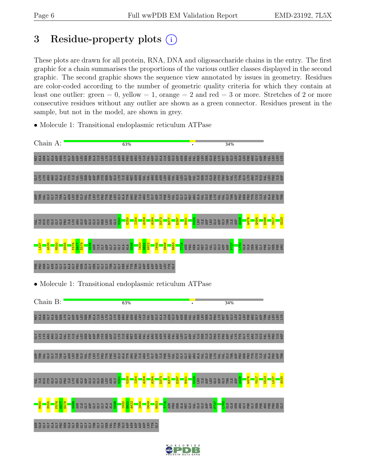## 3 Residue-property plots  $(i)$

These plots are drawn for all protein, RNA, DNA and oligosaccharide chains in the entry. The first graphic for a chain summarises the proportions of the various outlier classes displayed in the second graphic. The second graphic shows the sequence view annotated by issues in geometry. Residues are color-coded according to the number of geometric quality criteria for which they contain at least one outlier: green  $= 0$ , yellow  $= 1$ , orange  $= 2$  and red  $= 3$  or more. Stretches of 2 or more consecutive residues without any outlier are shown as a green connector. Residues present in the sample, but not in the model, are shown in grey.

• Molecule 1: Transitional endoplasmic reticulum ATPase

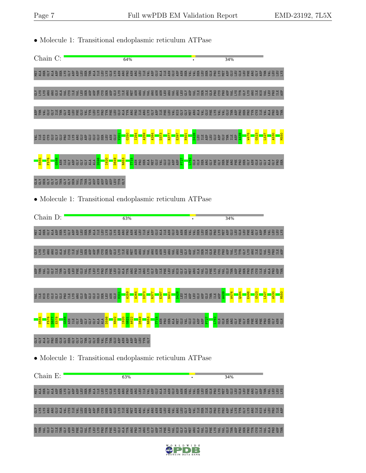• Molecule 1: Transitional endoplasmic reticulum ATPase Chain C: 64% 34% 틸 1 띖 당 1 함 떲 꼸 당 명 현 터 터 터 H E X 달 X ஐ 명 명 명 리 터 국 영 단 티 부 마 일 경 현 열 태 국 국 밖 터 떲 달 뚕 값 한 현 담 담 담 붉 뜻 약 현 타 국 B B X<br>한 1 時 단 국 현 변 X 당 현 현 리 時 터 크 H E X 달 X 열 명 명 명 명 터 터 국 예 안 크 니 트 프 트 이 호 텔 변 리 드 리 번 면 이 이 이 이 이 이 이 이 이 칁쯈뿀뿛큷ۇ뵎8법붛풬똆షুҿᄩ뚕볪핧픦쯈뷥뽍텵쵏뽏킃븣뫓쵏쵏풥봝봋뽏폄겋핧봋뷥뼚뷥큡묥뙁윭핧봋뫔뚑칂쫨뽏븹把볹<u>룜</u>묥븹ಜ 혍븉뉯恴칁븹뼖칁혏풬뷢킎뉯Ĕ뤔왕윭톁뷢폅큻킟뜥왏윭븹왏왐엃혍븹뷡풬봋띒싆싏턽왏킟킃킎뷢쫑봋킇릚뼖혏윭ᡦ윭퇕뙁븹봋띛윭혏뛢  $\frac{1}{201}$ G250 I254 A259 A264 D373 R377 E397 N401 D428 A439 W476 G523 L527 A530 M550 SHRSGGGBRH S & G G G G G G G G G GLU LEU LEU GLU GLU THR  $\Xi^-$ ASP ASP  $\Xi^-$ ASP S555 F576 G588 D598 I620 D649 R653 <mark>LIS</mark><br>ASN<br>ALA P727 L762 GLN GLN SER ARG GLY PHE GLY SER PHE ARG PHE PRO SER GLY ASN GLN GLY GLY ALA GLY PRO ASN  $\Xi$ GLY ASP GLY GLY GLY ALA ALA MET GLU VAL GLU GLU ASP ASP SER GLN GLY SER GLY GLY GLY THR GLY GLY SER VAL TYR THR GLU ASP ASN ASP ASP ASP LEU TYR GLY • Molecule 1: Transitional endoplasmic reticulum ATPase Chain D:  $63%$ 34% 틸 1 띖 당 1 함 떲 꼸 당 명 현 터 터 터 H E X 달 X ஐ 명 명 명 리 터 국 영 단 티 부 마 일 경 현 열 태 국 국 위 터 변 일 똥 값 한 현 담 담 팀 품 동 단 회 타 X <br>한 1 時 단 국 현 변 X 당 현 현 리 변 토 크 티 터 X 달 X 열 명 명 명 명 리 티 국 현 단 크 티 프 블 한 호 텔 변 리 국 역 대 변 보 등 다 한 편 및 타 트 로 타 모 리 칁쯈뿀뿛큷ۇ뵎8법붛풬똆షুҿᄩ뚕볪핧픦쯈뷥뽍텵쵏뽏킃븣뫓쵏쵏풥봝봋뽏폄겋핧봋뷥뼚뷥큡묥뙁윭핧봋뫔뚑칂쫨뽏븹把볹<u>룜</u>묥븹ಜ 혍븉뉯恴칁븹뼖칁혏풬뷢킎뉯Ĕ뤔왕윭톁뷢폅킁킟뜥왏윭븹왏왐싏造뷢툆혘녛띒칂덣됮혗큹왏뎣뉯킁뭙뙁넟킃큲뼖핧윭ᡦ윭똩뙁븹킃띛윭혏튪  $\frac{1}{20}$ A259 A264 D373 R377 E397 N401 D428 A439 W476 Q494 E498 G523 L527 A530 M550 d H H S Ə Ə Ə B H Y Q Ə Ə Ə Ə Ə Ə Ə Ə Ə Ə Ə Ə Ə GLU LEU  $\Xi$  . ASP LEU GLU ASP GLU THR ILE ASP S555 F576 D577 E578 G588 D598 N602 I620  $\frac{621}{2}$ A622 D649 R653 T715 P727 <mark>s</mark><br>La a a g a b a g a g a g a g a g a ASN  $\Xi$ GLY ASP GLY GLY GLY ALA ALA ASN PRO SER ALA MET GLU VAL GLU GLU ASP ASP GLY GLY ALA GLY PRO SER GLN GLY SER GLY GLY GLY THR GLY GLY SER VAL TYR THR GLU ASP ASN ASP ASP ASP LEU TYR GLY • Molecule 1: Transitional endoplasmic reticulum ATPase Chain E: 63% 34% 턽킄띖ե봌ᅉ照꼻; 읖 醇 쭴 띖 ᄩ 킄 日 딂 꿇 달 끓 쪎 렮 룜 힡 큷 븕 ᄇ 흑 흑 염 큭 뒥 혈 금 @ 횰 떲 큭 큭 떲 필 떲 글 딾 ඩ 쯠 psilon 긂 뒴 릴 님 븕 홂 블 현 直 굴 둼 팀 沿 GLY LYS LYS ARG ARG GLU ALA VAL CYS ILE VAL LEU SER ASP ASP THR CYS SER ASP GLU LYS ILE ARG MET ASN ARG VAL VAL ARG ASN ASN LEU ARG VAL ARG LEU GLY ASP VAL ILE SER ILE GLN PRO CYS PRO ASP VAL LYS TYR GLY LYS ARG ILE HIS VAL LEU PRO ILE ASP 혍븉뉯큲슪븹뼡칈혫폄뷢킁뉯톁폄쯈윭뜉튭큽马띛إ웉윭욢븹웧뙁슪혏븹뷢폌킃믶싆슪덣ඩ쭕즼긯딍뷢뙁킃긓킎볩혏윭뼚윭뚄뙁븹킃긬윭혏뙡

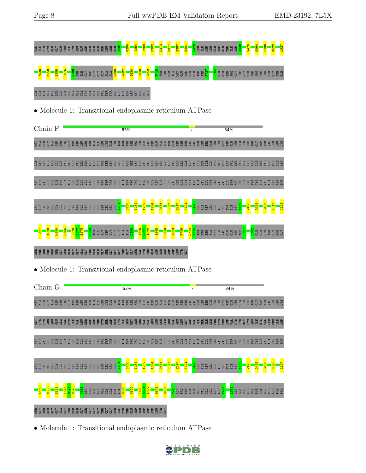**Astigue and alta <mark>and the properties of the series</mark> and alta ala metal algent and metal and metal metal asp pro** 



# GLY GLY ALA GLY PRO SER GLN GLY SER GLY GLY GLY THR GLY GLY SER VAL TYR THR GLU ASP ASN ASP ASP ASP LEU TYR GLY

• Molecule 1: Transitional endoplasmic reticulum ATPase



• Molecule 1: Transitional endoplasmic reticulum ATPase

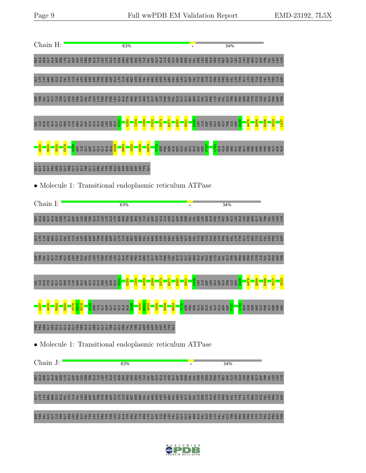

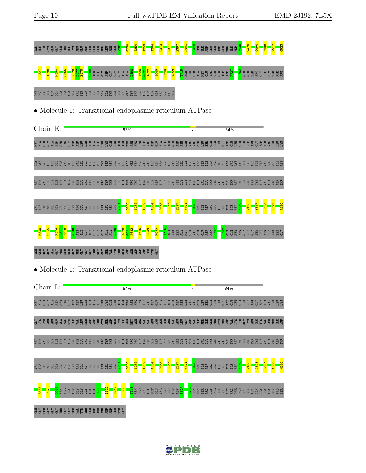

• Molecule 1: Transitional endoplasmic reticulum ATPase

SSERS GRY FES & & & & B E SS

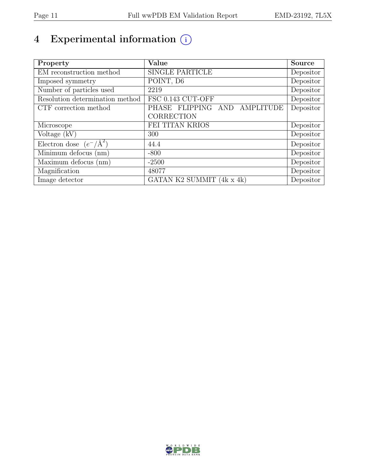# 4 Experimental information  $\circled$

| Property                           | Value                        | Source    |
|------------------------------------|------------------------------|-----------|
| EM reconstruction method           | <b>SINGLE PARTICLE</b>       | Depositor |
| Imposed symmetry                   | POINT, D6                    | Depositor |
| Number of particles used           | 2219                         | Depositor |
| Resolution determination method    | FSC 0.143 CUT-OFF            | Depositor |
| CTF correction method              | PHASE FLIPPING AND AMPLITUDE | Depositor |
|                                    | CORRECTION                   |           |
| Microscope                         | FEI TITAN KRIOS              | Depositor |
| Voltage $(kV)$                     | 300                          | Depositor |
| Electron dose $(e^-/\text{\AA}^2)$ | 44.4                         | Depositor |
| Minimum defocus (nm)               | $-800$                       | Depositor |
| Maximum defocus (nm)               | $-2500$                      | Depositor |
| Magnification                      | 48077                        | Depositor |
| Image detector                     | GATAN K2 SUMMIT (4k x 4k)    | Depositor |

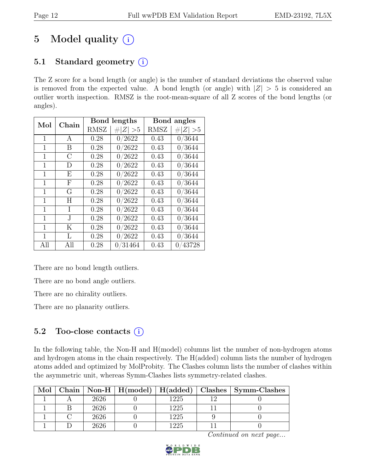# 5 Model quality  $(i)$

## 5.1 Standard geometry  $(i)$

The Z score for a bond length (or angle) is the number of standard deviations the observed value is removed from the expected value. A bond length (or angle) with  $|Z| > 5$  is considered an outlier worth inspection. RMSZ is the root-mean-square of all Z scores of the bond lengths (or angles).

| Mol | Chain         |             | Bond lengths | Bond angles |             |  |
|-----|---------------|-------------|--------------|-------------|-------------|--|
|     |               | <b>RMSZ</b> | # $ Z  > 5$  | <b>RMSZ</b> | $\# Z  > 5$ |  |
| 1   | A             | 0.28        | 0/2622       | 0.43        | 0/3644      |  |
| 1   | B             | 0.28        | 0/2622       | 0.43        | 0/3644      |  |
| 1   | $\mathcal{C}$ | 0.28        | 0/2622       | 0.43        | 0/3644      |  |
| 1   | D             | 0.28        | 0/2622       | 0.43        | 0/3644      |  |
| 1   | E             | 0.28        | 0/2622       | 0.43        | 0/3644      |  |
| 1   | $_{\rm F}$    | 0.28        | 0/2622       | 0.43        | 0/3644      |  |
| 1   | G             | 0.28        | 0/2622       | 0.43        | 0/3644      |  |
| 1   | H             | 0.28        | 0/2622       | 0.43        | 0/3644      |  |
| 1   | I             | 0.28        | 0/2622       | 0.43        | 0/3644      |  |
| 1   | J.            | 0.28        | 0/2622       | 0.43        | 0/3644      |  |
| 1   | K             | 0.28        | 0/2622       | 0.43        | 0/3644      |  |
| 1   | L             | 0.28        | 0/2622       | 0.43        | 0/3644      |  |
| All | All           | 0.28        | 0/31464      | 0.43        | 0/43728     |  |

There are no bond length outliers.

There are no bond angle outliers.

There are no chirality outliers.

There are no planarity outliers.

#### 5.2 Too-close contacts  $(i)$

In the following table, the Non-H and H(model) columns list the number of non-hydrogen atoms and hydrogen atoms in the chain respectively. The H(added) column lists the number of hydrogen atoms added and optimized by MolProbity. The Clashes column lists the number of clashes within the asymmetric unit, whereas Symm-Clashes lists symmetry-related clashes.

| Mol |      |      | Chain   Non-H   H(model)   H(added)   Clashes   Symm-Clashes |
|-----|------|------|--------------------------------------------------------------|
|     | 2626 | 1225 |                                                              |
|     | 2626 | 1225 |                                                              |
|     | 2626 | 1225 |                                                              |
|     | 2626 | 1225 |                                                              |

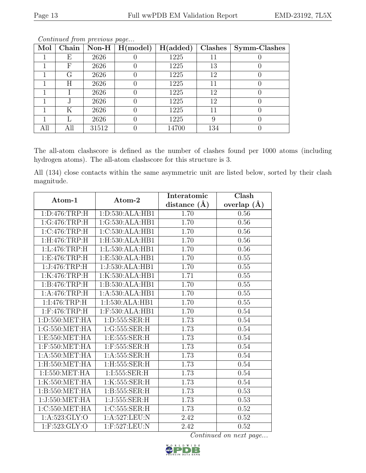| Mol | Chain |       | Non-H $\mid$ H(model) | H(added) | Clashes | Symm-Clashes |
|-----|-------|-------|-----------------------|----------|---------|--------------|
|     | Е     | 2626  |                       | 1225     | 11      |              |
|     | F     | 2626  |                       | 1225     | 13      |              |
|     | G     | 2626  |                       | 1225     | 12      |              |
|     | Η     | 2626  |                       | 1225     | 11      |              |
|     |       | 2626  |                       | 1225     | 12      |              |
|     |       | 2626  |                       | 1225     | 12      |              |
|     | Κ     | 2626  |                       | 1225     | 11      |              |
|     |       | 2626  |                       | 1225     | 9       |              |
| All |       | 31512 |                       | 14700    | 134     |              |

Continued from previous page...

The all-atom clashscore is defined as the number of clashes found per 1000 atoms (including hydrogen atoms). The all-atom clashscore for this structure is 3.

All (134) close contacts within the same asymmetric unit are listed below, sorted by their clash magnitude.

| Atom-1             | Atom-2           | Interatomic      | Clash           |  |
|--------------------|------------------|------------------|-----------------|--|
|                    |                  | distance $(\AA)$ | overlap $(\AA)$ |  |
| 1: D:476: TRP:H    | 1:D:530:ALA:HB1  | 1.70             | 0.56            |  |
| 1:G:476:TRP:H      | 1:G:530:ALA:HB1  | 1.70             | 0.56            |  |
| 1:C:476:TRP:H      | 1:C:530:ALA:HB1  | 1.70             | 0.56            |  |
| 1:H:476:TRP:H      | 1:H:530:ALA:HB1  | 1.70             | 0.56            |  |
| 1: L:476:TRP:H     | 1:L:530:ALA:HB1  | 1.70             | $0.56\,$        |  |
| 1: E:476: TRP:H    | 1:E:530:ALA:HB1  | 1.70             | 0.55            |  |
| 1:J:476:TRP:H      | 1:J:530:ALA:HB1  | 1.70             | 0.55            |  |
| 1:K:476:TRP:H      | 1:K:530:ALA:HB1  | 1.71             | 0.55            |  |
| 1:B:476:TRP:H      | 1:B:530:ALA:HB1  | 1.70             | 0.55            |  |
| 1:A:476:TRP:H      | 1:A:530:ALA:HB1  | 1.70             | 0.55            |  |
| 1:1:476:TRP:H      | 1:I:530:ALA:HB1  | 1.70             | 0.55            |  |
| $1:$ F:476:TRP:H   | 1:F:530:ALA:HB1  | 1.70             | 0.54            |  |
| 1: D: 550: MET: HA | 1:D:555:SER:H    | 1.73             | 0.54            |  |
| 1:G:550:MET:HA     | 1:G:555:SER:H    | 1.73             | 0.54            |  |
| 1:E:550:MET:HA     | 1:E:555:SER:H    | 1.73             | 0.54            |  |
| 1:F:550:MET:HA     | 1:F:555:SER:H    | 1.73             | 0.54            |  |
| 1: A:550: MET:HA   | 1: A: 555: SER:H | 1.73             | 0.54            |  |
| 1:H:550:MET:HA     | 1:H:555:SER:H    | 1.73             | $0.54\,$        |  |
| 1:I:550:MET:HA     | 1:I:555:SER:H    | 1.73             | 0.54            |  |
| 1:K:550:MET:HA     | 1:K:555:SER:H    | 1.73             | 0.54            |  |
| 1:B:550:MET:HA     | 1:B:555:SER:H    | 1.73             | 0.53            |  |
| 1:J:550:MET:HA     | 1:J:555:SER:H    | 1.73             | 0.53            |  |
| 1:C:550:MET:HA     | 1:C:555:SER:H    | 1.73             | $0.52\,$        |  |
| 1: A:523: GLY:O    | 1:A:527:LEU:N    | 2.42             | 0.52            |  |
| $1:$ F:523:GLY:O   | 1:F:527:LEU:N    | 2.42             | 0.52            |  |

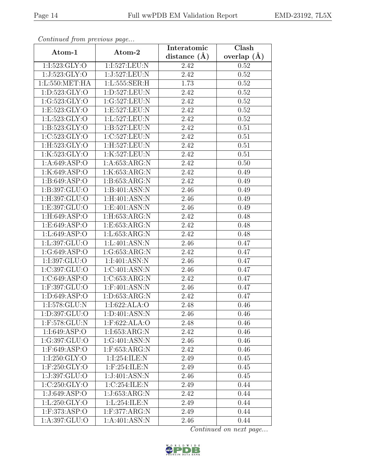| Continua from previous page  |                      | Interatomic       | Clash<br>overlap $(A)$ |  |
|------------------------------|----------------------|-------------------|------------------------|--|
| Atom-1                       | Atom-2               | distance $(A)$    |                        |  |
| 1:I:523:GLY:O                | 1:I:527:LEU:N        | 2.42              | 0.52                   |  |
| 1:J:523:GLY:O                | 1:J:527:LEU:N        | 2.42              | 0.52                   |  |
| 1: L: 550: MET: HA           | 1:L:555:SER:H        | 1.73              | 0.52                   |  |
| 1: D: 523: GLY: O            | 1:D:527:LEU:N        | 2.42              | 0.52                   |  |
| 1:G:523:GLY:O                | 1:G:527:LEU:N        | 2.42              | 0.52                   |  |
| 1: E: 523: GLY: O            | 1:E:527:LEU:N        | 2.42              | 0.52                   |  |
| 1:Li:523:GLY:O               | 1: L: 527: LEU: N    | $\overline{2.42}$ | 0.52                   |  |
| 1: B: 523: GLY:O             | 1:B:527:LEU:N        | 2.42              | 0.51                   |  |
| 1:C:523:GLY:O                | 1:C:527:LEU:N        | 2.42              | 0.51                   |  |
| 1:H:523:GLY:O                | 1:H:527:LEU:N        | 2.42              | 0.51                   |  |
| 1:K:523:GLY:O                | 1:K:527:LEU:N        | 2.42              | 0.51                   |  |
| 1: A:649: ASP:O              | 1:A:653:ARG:N        | 2.42              | 0.50                   |  |
| 1:K:649:ASP:O                | 1:K:653:ARG:N        | 2.42              | 0.49                   |  |
| $1: B:649: \overline{ASP:O}$ | 1: B: 653: ARG: N    | 2.42              | 0.49                   |  |
| 1:B:397:GLU:O                | 1:B:401:ASN:N        | 2.46              | 0.49                   |  |
| 1:H:397:GLU:O                | $1:$ H: $401:$ ASN:N | 2.46              | 0.49                   |  |
| 1:E:397:GLU:O                | 1:E:401:ASN:N        | 2.46              | 0.49                   |  |
| 1:H:649:ASP:O                | 1:H:653:ARG:N        | 2.42              | 0.48                   |  |
| 1:E:649:ASP:O                | 1:E:653:ARG:N        | 2.42              | 0.48                   |  |
| 1: L:649: ASP:O              | 1: L: 653: ARG: N    | 2.42              | 0.48                   |  |
| 1:L:397:GLU:O                | 1: L:401: ASN: N     | 2.46              | 0.47                   |  |
| 1:G:649:ASP:O                | 1:G:653:ARG:N        | 2.42              | 0.47                   |  |
| 1:I:397:GLU:O                | 1:I:401:ASN:N        | 2.46              | 0.47                   |  |
| 1:C:397:GLU:O                | 1:C:401:ASN:N        | 2.46              | 0.47                   |  |
| 1:C:649:ASP:O                | 1:C:653:ARG:N        | 2.42              | 0.47                   |  |
| 1:F:397:GLU:O                | $1:$ F:401:ASN:N     | 2.46              | 0.47                   |  |
| 1: D:649: ASP:O              | 1: D: 653: ARG: N    | 2.42              | 0.47                   |  |
| $1:1:578:$ GLU:N             | 1:1:622:ALA:O        | 2.48              | 0.46                   |  |
| 1:D:397:GLU:O                | 1: D:401: ASN: N     | 2.46              | 0.46                   |  |
| 1:F:578:GLU:N                | $1:$ F:622:ALA:O     | 2.48              | 0.46                   |  |
| 1:I:649:ASP:O                | 1:1:653:ARG:N        | 2.42              | 0.46                   |  |
| 1:G:397:GLU:O                | 1:G:401:ASN:N        | 2.46              | 0.46                   |  |
| 1:F:649:ASP:O                | $1:$ F:653:ARG:N     | 2.42              | 0.46                   |  |
| 1:I:250:GLY:O                | 1:I:254:ILE:N        | 2.49              | 0.45                   |  |
| 1:F:250:GLY:O                | 1:F:254:ILE:N        | 2.49              | 0.45                   |  |
| 1:J:397:GLU:O                | 1:J:401:ASN:N        | 2.46              | 0.45                   |  |
| 1:C:250:GLY:O                | 1:C:254:ILE:N        | 2.49              | 0.44                   |  |
| 1:J:649:ASP:O                | 1:J:653:ARG:N        | 2.42              | 0.44                   |  |
| 1: L:250: GLY:O              | 1: L: 254: ILE:N     | 2.49              | 0.44                   |  |
| $1:$ F:373:ASP:O             | 1:F:377:ARG:N        | 2.49              | 0.44                   |  |
| 1:A:397:GLU:O                | 1:A:401:ASN:N        | 2.46              | 0.44                   |  |

Continued from previous page.

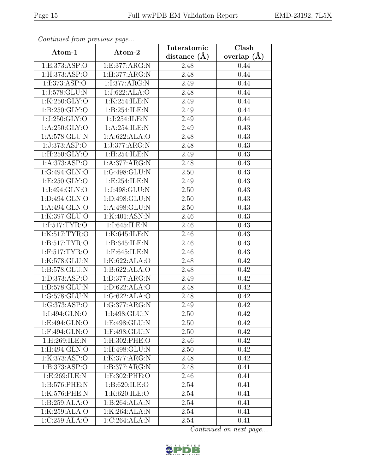| Continuea from previous page<br>Atom-1 | Atom-2                        | Interatomic    | $\overline{\text{Clash}}$ |  |  |
|----------------------------------------|-------------------------------|----------------|---------------------------|--|--|
|                                        |                               | distance $(A)$ | overlap $(A)$             |  |  |
| 1:E:373:ASP:O                          | 1:E:377:ARG:N                 | 2.48           | 0.44                      |  |  |
| 1: H: 373: ASP: O                      | 1: H: 377: ARG: N             | 2.48           | 0.44                      |  |  |
| 1:I:373:ASP:O                          | 1:1:377:ARG:N                 | 2.49           | 0.44                      |  |  |
| 1:J:578:GLU:N                          | 1:J:622:ALA:O                 | 2.48           | 0.44                      |  |  |
| 1:K:250:GLY:O                          | 1:K:254:ILE:N                 | 2.49           | 0.44                      |  |  |
| 1: B:250: GLY:O                        | 1:B:254:ILE:N                 | 2.49           | 0.44                      |  |  |
| 1:J:250:GLY:O                          | 1:J:254:ILE:N                 | 2.49           | 0.44                      |  |  |
| 1: A:250: GLY:O                        | 1:A:254:ILE:N                 | 2.49           | 0.43                      |  |  |
| 1: A:578: GLU: N                       | 1:A:622:ALA:O                 | 2.48           | 0.43                      |  |  |
| 1:J:373:ASP:O                          | 1:J:377:ARG:N                 | 2.48           | 0.43                      |  |  |
| 1:H:250:GLY:O                          | 1:H:254:ILE:N                 | 2.49           | 0.43                      |  |  |
| 1: A: 373: ASP: O                      | 1:A:377:ARG:N                 | 2.48           | 0.43                      |  |  |
| 1:G:494:GLN:O                          | 1:G:498:GLU:N                 | 2.50           | 0.43                      |  |  |
| 1: E:250: GLY:O                        | 1: E: 254: ILE:N              | 2.49           | 0.43                      |  |  |
| 1:J:494:GLN:O                          | 1:J:498:GLU:N                 | 2.50           | 0.43                      |  |  |
| 1:D:494:GLN:O                          | 1:D:498:GLU:N                 | 2.50           | 0.43                      |  |  |
| 1:A:494:GLN:O                          | 1:A:498:GLU:N                 | 2.50           | 0.43                      |  |  |
| 1:K:397:GLU:O                          | 1:K:401:ASN:N                 | 2.46           | 0.43                      |  |  |
| 1:I:517:TYR:O                          | 1:I:645:ILE:N                 | 2.46           | 0.43                      |  |  |
| 1:K:517:TYR:O                          | 1:K:645:ILE:N                 | 2.46           | 0.43                      |  |  |
| 1:B:517:TYR:O                          | 1:B:645:ILE:N                 | 2.46           | 0.43                      |  |  |
| $1:$ F:517:TYR:O                       | $1:$ F:645:ILE:N              | 2.46           | 0.43                      |  |  |
| 1:K:578:GLU:N                          | 1:K:622:ALA:O                 | 2.48           | 0.42                      |  |  |
| 1:B:578:GLU:N                          | 1:B:622:ALA:O                 | 2.48           | 0.42                      |  |  |
| 1:D:373:ASP:O                          | 1:D:377:ARG:N                 | 2.49           | 0.42                      |  |  |
| 1:D:578:GLU:N                          | 1:D:622:ALA:O                 | 2.48           | 0.42                      |  |  |
| 1:G:578:GLU:N                          | 1:G:622:ALA:O                 | 2.48           | 0.42                      |  |  |
| 1:G:373:ASP:O                          | 1:G:377:ARG:N                 | 2.49           | 0.42                      |  |  |
| 1:I:494:GLN:O                          | 1:I:498:GLU:N                 | 2.50           | 0.42                      |  |  |
| 1:E:494:GLN:O                          | 1:E:498:GLU:N                 | 2.50           | 0.42                      |  |  |
| $1:$ F:494:GLN:O                       | 1:F:498:GLU:N                 | 2.50           | 0.42                      |  |  |
| 1:H:269:ILE:N                          | 1:H:302:PHE:O                 | 2.46           | 0.42                      |  |  |
| 1:H:494:GLN:O                          | 1:H:498:GLU:N                 | 2.50           | 0.42                      |  |  |
| 1:K:373:ASP:O                          | 1:K:377:ARG:N                 | 2.48           | 0.42                      |  |  |
| 1:B:373:ASP:O                          | 1:B:377:ARG:N                 | 2.48           | 0.41                      |  |  |
| 1: E:269: ILE:N                        | $1: E: 302: \overline{PHE:O}$ | 2.46           | 0.41                      |  |  |
| 1:B:576:PHE:N                          | 1:B:620:ILE:O                 | 2.54           | 0.41                      |  |  |
| 1:K:576:PHE:N                          | 1:K:620:ILE:O                 | 2.54           | 0.41                      |  |  |
| 1:B:259:ALA:O                          | 1:B:264:ALA:N                 | 2.54           | 0.41                      |  |  |
| 1:K:259:ALA:O                          | 1:K:264:ALA:N                 | 2.54           | 0.41                      |  |  |
| 1:C:259:ALA:O                          | 1:C:264:ALA:N                 | 2.54           | 0.41                      |  |  |

Continued from previous page.

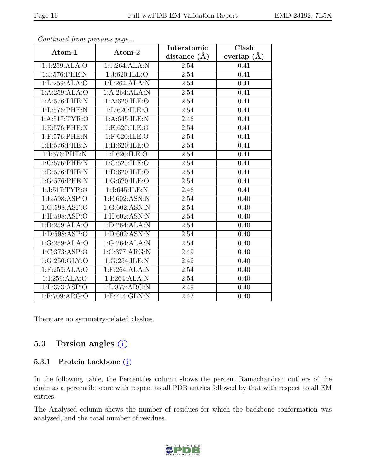| EMD-23192, 7L5X |  |
|-----------------|--|
|-----------------|--|

|                   | $\sim$              | Interatomic       | Clash         |  |  |
|-------------------|---------------------|-------------------|---------------|--|--|
| Atom-1            | Atom-2              | distance $(A)$    | overlap $(A)$ |  |  |
| 1:J:259:ALA:O     | 1:J:264:ALA:N       | 2.54              | 0.41          |  |  |
| 1:J:576:PHE:N     | 1:J:620:ILE:O       | 2.54              | 0.41          |  |  |
| 1: L:259: ALA:O   | 1:L:264:ALA:N       | 2.54              | 0.41          |  |  |
| 1:A:259:ALA:O     | 1:A:264:ALA:N       | 2.54              | 0.41          |  |  |
| 1:A:576:PHE:N     | 1:A:620:ILE:O       | 2.54              | 0.41          |  |  |
| 1:L:576:PHE:N     | 1: L:620: ILE: O    | 2.54              | 0.41          |  |  |
| 1: A:517: TYR:O   | 1:A:645:ILE:N       | 2.46              | 0.41          |  |  |
| 1:E:576:PHE:N     | 1: E:620: ILE: O    | 2.54              | 0.41          |  |  |
| 1:F:576:PHE:N     | $1:$ F:620:ILE:O    | $2.54\,$          | 0.41          |  |  |
| 1:H:576:PHE:N     | $1:$ H:620:ILE:O    | 2.54              | 0.41          |  |  |
| 1:I:576:PHE:N     | 1:I:620:ILE:O       | 2.54              | 0.41          |  |  |
| 1:C:576:PHE:N     | 1:C:620:ILE:O       | 2.54              | 0.41          |  |  |
| 1:D:576:PHE:N     | 1:D:620:ILE:O       | 2.54              | 0.41          |  |  |
| 1:G:576:PHE:N     | 1:G:620:ILE:O       | 2.54              | 0.41          |  |  |
| 1:J:517:TYR:O     | 1:J:645:ILE:N       | 2.46              | 0.41          |  |  |
| 1:E:598:ASP:O     | 1:E:602:ASN:N       | 2.54              | 0.40          |  |  |
| 1:G:598:ASP:O     | 1:G:602:ASN:N       | 2.54              | 0.40          |  |  |
| 1: H: 598: ASP: O | $1:$ H:602:ASN:N    | 2.54              | 0.40          |  |  |
| 1: D: 259: ALA: O | 1: D:264:ALA:N      | 2.54              | 0.40          |  |  |
| 1:D:598:ASP:O     | 1:D:602:ASN:N       | 2.54              | 0.40          |  |  |
| 1:G:259:ALA:O     | 1:G:264:ALA:N       | 2.54              | 0.40          |  |  |
| 1:C:373:ASP:O     | 1:C:377:ARG:N       | 2.49              | 0.40          |  |  |
| 1:G:250:GLY:O     | 1:G:254:ILE:N       | 2.49              | 0.40          |  |  |
| $1:$ F:259:ALA:O  | $1:$ F:264:ALA:N    | 2.54              | 0.40          |  |  |
| 1:I:259:ALA:O     | 1:I:264:ALA:N       | 2.54              | 0.40          |  |  |
| 1: L: 373: ASP: O | 1: L: 377: ARG: N   | $\overline{2.49}$ | 0.40          |  |  |
| 1:F:709:ARG:O     | $1:$ F:714: $GLN:N$ | 2.42              | 0.40          |  |  |

Continued from previous page...

There are no symmetry-related clashes.

#### 5.3 Torsion angles  $(i)$

#### 5.3.1 Protein backbone ①

In the following table, the Percentiles column shows the percent Ramachandran outliers of the chain as a percentile score with respect to all PDB entries followed by that with respect to all EM entries.

The Analysed column shows the number of residues for which the backbone conformation was analysed, and the total number of residues.

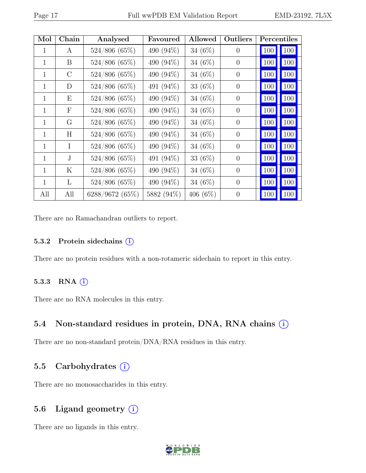| Mol          | Chain                     | Analysed        | Favoured   | <b>Allowed</b> | Outliers       | Percentiles |     |
|--------------|---------------------------|-----------------|------------|----------------|----------------|-------------|-----|
| 1            | A                         | 524/806(65%)    | 490 (94%)  | 34 $(6%)$      | $\theta$       | 100         | 100 |
| 1            | B                         | 524/806 (65%)   | 490 (94%)  | 34 $(6%)$      | $\overline{0}$ | 100         | 100 |
| $\mathbf{1}$ | $\rm C$                   | 524/806 (65%)   | 490 (94%)  | 34 $(6\%)$     | $\theta$       | 100         | 100 |
| 1            | D                         | $524/806(65\%)$ | 491 (94%)  | 33 (6%)        | $\overline{0}$ | 100         | 100 |
| 1            | Ε                         | $524/806(65\%)$ | 490 (94%)  | 34 $(6%)$      | $\theta$       | 100         | 100 |
| 1            | $\boldsymbol{\mathrm{F}}$ | 524/806(65%)    | 490 (94%)  | 34 (6%)        | $\theta$       | 100         | 100 |
| 1            | G                         | 524/806 (65%)   | 490 (94%)  | 34 $(6%)$      | $\theta$       | 100         | 100 |
| 1            | H                         | 524/806(65%)    | 490 (94%)  | 34 $(6%)$      | $\overline{0}$ | 100         | 100 |
| $\mathbf{1}$ | I                         | $524/806(65\%)$ | 490 (94%)  | 34 $(6\%)$     | $\theta$       | 100         | 100 |
| 1            | J.                        | $524/806(65\%)$ | 491 (94%)  | 33 (6%)        | $\theta$       | 100         | 100 |
| 1            | Κ                         | 524/806 (65%)   | 490 (94%)  | 34 $(6%)$      | $\overline{0}$ | 100         | 100 |
| 1            | L                         | 524/806 (65%)   | 490 (94%)  | 34 $(6\%)$     | $\theta$       | 100         | 100 |
| All          | All                       | 6288/9672(65%)  | 5882 (94%) | 406 $(6\%)$    | $\theta$       | 100         | 100 |

There are no Ramachandran outliers to report.

#### 5.3.2 Protein sidechains (i)

There are no protein residues with a non-rotameric sidechain to report in this entry.

#### 5.3.3 RNA  $(i)$

There are no RNA molecules in this entry.

#### 5.4 Non-standard residues in protein, DNA, RNA chains  $(i)$

There are no non-standard protein/DNA/RNA residues in this entry.

#### 5.5 Carbohydrates (i)

There are no monosaccharides in this entry.

#### 5.6 Ligand geometry (i)

There are no ligands in this entry.